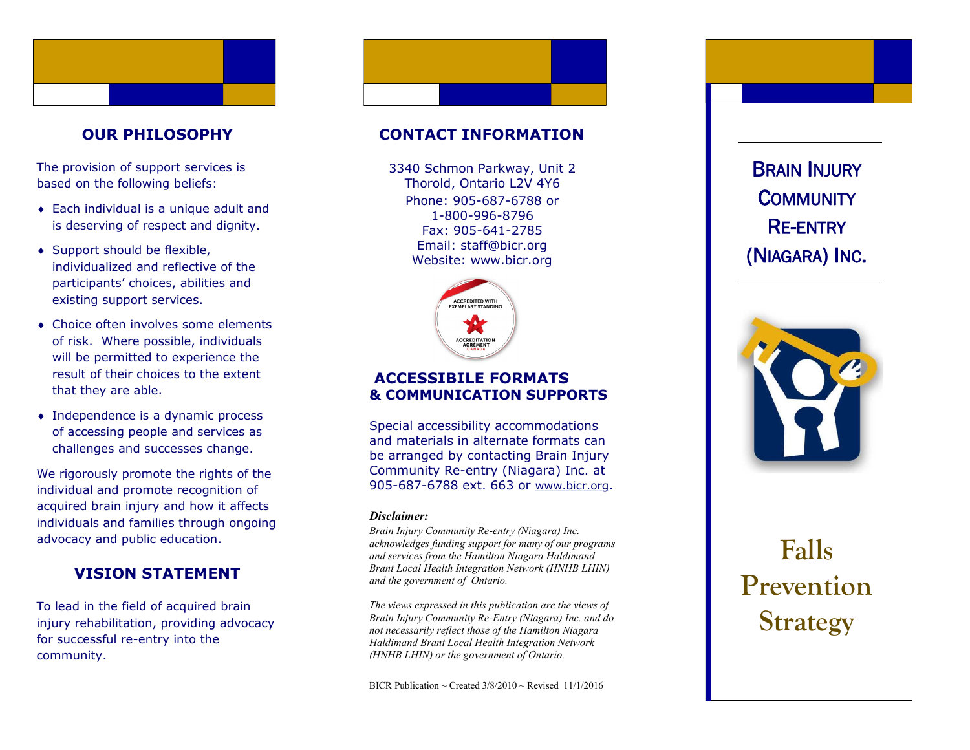#### **OUR PHILOSOPHY**

The provision of support services is based on the following beliefs:

- Each individual is a unique adult and is deserving of respect and dignity.
- ◆ Support should be flexible, individualized and reflective of the participants' choices, abilities and existing support services.
- Choice often involves some elements of risk. Where possible, individuals will be permitted to experience the result of their choices to the extent that they are able.
- Independence is a dynamic process of accessing people and services as challenges and successes change.

We rigorously promote the rights of the individual and promote recognition of acquired brain injury and how it affects individuals and families through ongoing advocacy and public education.

### **VISION STATEMENT**

To lead in the field of acquired brain injury rehabilitation, providing advocacy for successful re -entry into the community.

#### **CONTACT INFORMATION**

Phone: 905 -687 -6788 or 1 -800 -996 -8796 Fax: 905 -641 -2785 Email: staff@bicr.org Website: www.bicr.org 3340 Schmon Parkway, Unit 2 Thorold, Ontario L2V 4Y6



#### **ACCESSIBILE FORMATS & COMMUNICATION SUPPORTS**

Special accessibility accommodations and materials in alternate formats can be arranged by contacting Brain Injury Community Re -entry (Niagara) Inc. at 905-687-6788 ext. 663 or [www.bicr.org](http://www.bicr.org).

#### *Disclaimer:*

*Brain Injury Community Re -entry (Niagara) Inc. acknowledges funding support for many of our programs and services from the Hamilton Niagara Haldimand Brant Local Health Integration Network (HNHB LHIN) and the government of Ontario.* 

*The views expressed in this publication are the views of Brain Injury Community Re -Entry (Niagara) Inc. and do not necessarily reflect those of the Hamilton Niagara Haldimand Brant Local Health Integration Network (HNHB LHIN) or the government of Ontario.* 

BICR Publication ~ Created  $3/8/2010$  ~ Revised 11/1/2016

(NIAGARA) INC .



# **Falls Prevention**